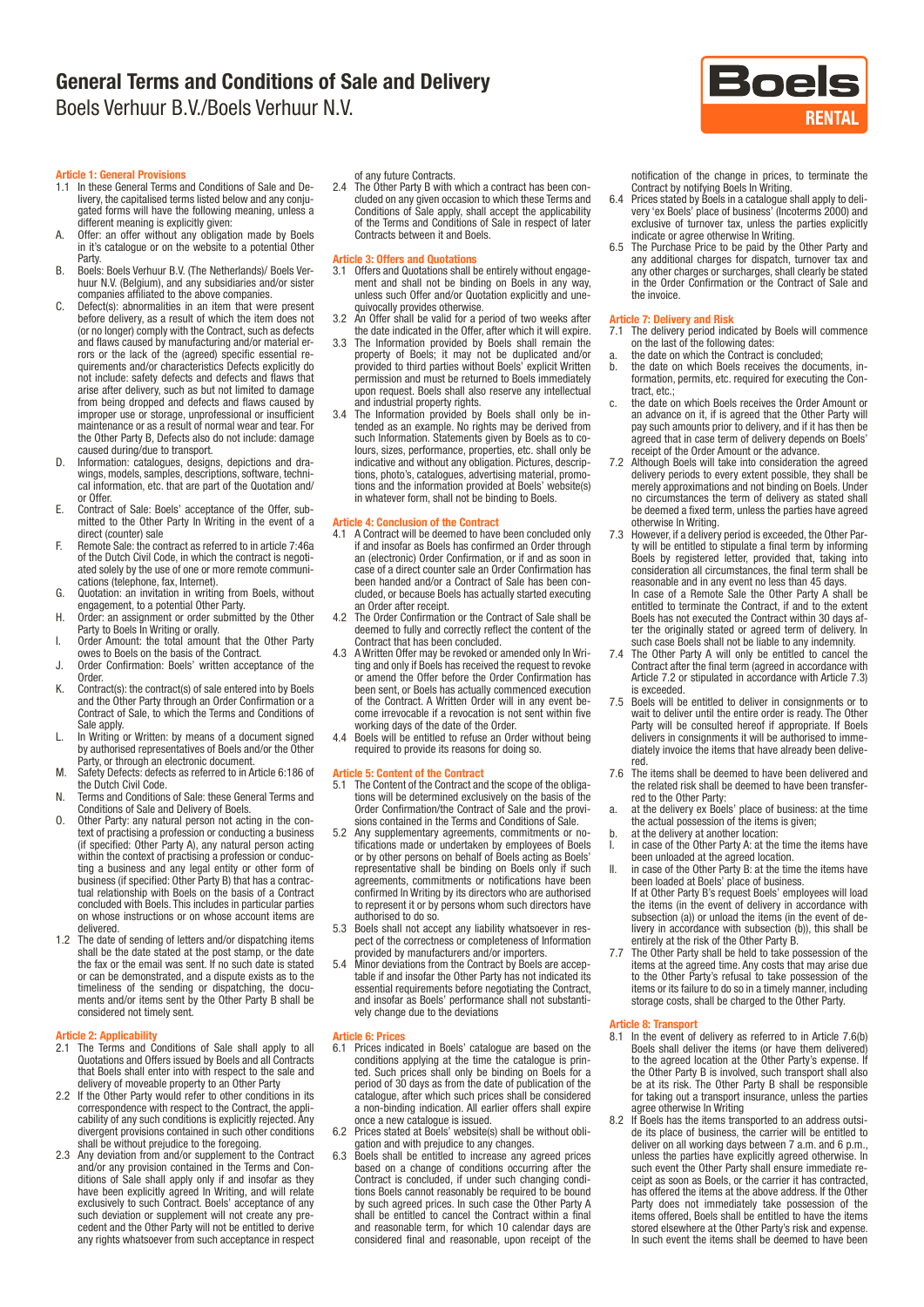

#### Article 1: General Provisions

- 1.1 In these General Terms and Conditions of Sale and Delivery, the capitalised terms listed below and any conjugated forms will have the following meaning, unless a different meaning is explicitly given:
- A. Offer: an offer without any obligation made by Boels in it's catalogue or on the website to a potential Other
- Party. B. Boels: Boels Verhuur B.V. (The Netherlands)/ Boels Verhuur N.V. (Belgium), and any subsidiaries and/or sister companies affiliated to the above companies.
- C. Defect(s): abnormalities in an item that were present before delivery, as a result of which the item does not (or no longer) comply with the Contract, such as defects and flaws caused by manufacturing and/or material er-rors or the lack of the (agreed) specific essential re-quirements and/or characteristics Defects explicitly do not include: safety defects and defects and flaws that arise after delivery, such as but not limited to damage from being dropped and defects and flaws caused by improper use or storage, unprofessional or insufficient maintenance or as a result of normal wear and tear. For the Other Party B, Defects also do not include: damage caused during/due to transport.
- D. Information: catalogues, designs, depictions and drawings, models, samples, descriptions, software, technical information, etc. that are part of the Quotation and/ or Offer.
- E. Contract of Sale: Boels' acceptance of the Offer, submitted to the Other Party In Writing in the event of a direct (counter) sale
- F. Remote Sale: the contract as referred to in article 7:46a of the Dutch Civil Code, in which the contract is negotiated solely by the use of one or more remote communications (telephone, fax, Internet).
- G. Quotation: an invitation in writing from Boels, without engagement, to a potential Other Party.
- H. Order: an assignment or order submitted by the Other Party to Boels In Writing or orally. I. Order Amount: the total amount that the Other Party
- owes to Boels on the basis of the Contract.
- J. Order Confirmation: Boels' written acceptance of the Order.
- K. Contract(s): the contract(s) of sale entered into by Boels and the Other Party through an Order Confirmation or a Contract of Sale, to which the Terms and Conditions of Sale apply.
- L. In Writing or Written: by means of a document signed by authorised representatives of Boels and/or the Other Party, or through an electronic document.
- M. Safety Defects: defects as referred to in Article 6:186 of the Dutch Civil Code.
- N. Terms and Conditions of Sale: these General Terms and Conditions of Sale and Delivery of Boels.
- O. Other Party: any natural person not acting in the con-text of practising a profession or conducting a business (if specified: Other Party A), any natural person acting within the context of practising a profession or conducting a business and any legal entity or other form of business (if specified: Other Party B) that has a contractual relationship with Boels on the basis of a Contract concluded with Boels. This includes in particular parties on whose instructions or on whose account items are delivered.
- 1.2 The date of sending of letters and/or dispatching items shall be the date stated at the post stamp, or the date the fax or the email was sent. If no such date is stated or can be demonstrated, and a dispute exists as to the timeliness of the sending or dispatching, the docu-ments and/or items sent by the Other Party B shall be considered not timely sent.

- Article 2: Applicability 2.1 The Terms and Conditions of Sale shall apply to all Quotations and Offers issued by Boels and all Contracts that Boels shall enter into with respect to the sale and
- delivery of moveable property to an Other Party 2.2 If the Other Party would refer to other conditions in its correspondence with respect to the Contract, the applicability of any such conditions is explicitly rejected. Any divergent provisions contained in such other conditions shall be without prejudice to the foregoing. 2.3 Any deviation from and/or supplement to the Contract
- and/or any provision contained in the Terms and Conditions of Sale shall apply only if and insofar as they have been explicitly agreed In Writing, and will relate exclusively to such Contract. Boels' acceptance of any such deviation or supplement will not create any precedent and the Other Party will not be entitled to derive any rights whatsoever from such acceptance in respect

of any future Contracts.

2.4 The Other Party B with which a contract has been concluded on any given occasion to which these Terms and Conditions of Sale apply, shall accept the applicability of the Terms and Conditions of Sale in respect of later Contracts between it and Boels.

#### Article 3: Offers and Quotations

- 3.1 Offers and Quotations shall be entirely without engagement and shall not be binding on Boels in any way, unless such Offer and/or Quotation explicitly and unequivocally provides otherwise.
- 3.2 An Offer shall be valid for a period of two weeks after the date indicated in the Offer, after which it will expire.
- 3.3 The Information provided by Boels shall remain the property of Boels; it may not be duplicated and/or provided to third parties without Boels' explicit Written permission and must be returned to Boels immediately upon request. Boels shall also reserve any intellectual and industrial property rights.
- 3.4 The Information provided by Boels shall only be intended as an example. No rights may be derived from such Information. Statements given by Boels as to colours, sizes, performance, properties, etc. shall only be indicative and without any obligation. Pictures, descriptions, photo's, catalogues, advertising material, promotions and the information provided at Boels' website(s) in whatever form, shall not be binding to Boels.

#### Article 4: Conclusion of the Contract

- 4.1 A Contract will be deemed to have been concluded only if and insofar as Boels has confirmed an Order through an (electronic) Order Confirmation, or if and as soon in case of a direct counter sale an Order Confirmation has been handed and/or a Contract of Sale has been concluded, or because Boels has actually started executing an Order after receipt.
- 4.2 The Order Confirmation or the Contract of Sale shall be deemed to fully and correctly reflect the content of the Contract that has been concluded.
- 4.3 A Written Offer may be revoked or amended only In Writing and only if Boels has received the request to revoke or amend the Offer before the Order Confirmation has been sent, or Boels has actually commenced execution of the Contract. A Written Order will in any event become irrevocable if a revocation is not sent within five
- working days of the date of the Order. 4.4 Boels will be entitled to refuse an Order without being required to provide its reasons for doing so.

- Article 5: Content of the Contract 5.1 The Content of the Contract and the scope of the obligations will be determined exclusively on the basis of the Order Confirmation/the Contract of Sale and the provisions contained in the Terms and Conditions of Sale.
- 5.2 Any supplementary agreements, commitments or notifications made or undertaken by employees of Boels or by other persons on behalf of Boels acting as Boels' representative shall be binding on Boels only if such agreements, commitments or notifications have been confirmed In Writing by its directors who are authorised to represent it or by persons whom such directors have authorised to do so.
- 5.3 Boels shall not accept any liability whatsoever in res-pect of the correctness or completeness of Information
- provided by manufacturers and/or importers. 5.4 Minor deviations from the Contract by Boels are acceptable if and insofar the Other Party has not indicated its essential requirements before negotiating the Contract, and insofar as Boels' performance shall not substanti-vely change due to the deviations

#### Article 6: Prices

- 6.1 Prices indicated in Boels' catalogue are based on the conditions applying at the time the catalogue is prin-ted. Such prices shall only be binding on Boels for a period of 30 days as from the date of publication of the catalogue, after which such prices shall be considered a non-binding indication. All earlier offers shall expire once a new catalogue is issued.
- 6.2 Prices stated at Boels' website(s) shall be without obligation and with prejudice to any changes.
- 6.3 Boels shall be entitled to increase any agreed prices based on a change of conditions occurring after the Contract is concluded, if under such changing conditions Boels cannot reasonably be required to be bound by such agreed prices. In such case the Other Party A shall be entitled to cancel the Contract within a final and reasonable term, for which 10 calendar days are considered final and reasonable, upon receipt of the

notification of the change in prices, to terminate the Contract by notifying Boels In Writing.

- 6.4 Prices stated by Boels in a catalogue shall apply to delivery 'ex Boels' place of business' (Incoterms 2000) and exclusive of turnover tax, unless the parties explicitly indicate or agree otherwise In Writing.
- 6.5 The Purchase Price to be paid by the Other Party and any additional charges for dispatch, turnover tax and any other charges or surcharges, shall clearly be stated in the Order Confirmation or the Contract of Sale and the invoice.

- Article 7: Delivery and Risk 7.1 The delivery period indicated by Boels will commence on the last of the following dates:
- a. the date on which the Contract is concluded;
- b. the date on which Boels receives the documents, information, permits, etc. required for executing the Contract, etc.
- c. the date on which Boels receives the Order Amount or an advance on it, if is agreed that the Other Party will pay such amounts prior to delivery, and if it has then be agreed that in case term of delivery depends on Boels'
- receipt of the Order Amount or the advance. 7.2 Although Boels will take into consideration the agreed delivery periods to every extent possible, they shall be merely approximations and not binding on Boels. Under no circumstances the term of delivery as stated shall be deemed a fixed term, unless the parties have agreed otherwise In Writing.
- 7.3 However, if a delivery period is exceeded, the Other Par-ty will be entitled to stipulate a final term by informing Boels by registered letter, provided that, taking into consideration all circumstances, the final term shall be reasonable and in any event no less than 45 days. In case of a Remote Sale the Other Party A shall be entitled to terminate the Contract, if and to the extent Boels has not executed the Contract within 30 days after the originally stated or agreed term of delivery. In such case Boels shall not be liable to any indemnity.
- The Other Party A will only be entitled to cancel the Contract after the final term (agreed in accordance with Article 7.2 or stipulated in accordance with Article 7.3) is exceeded.
- 7.5 Boels will be entitled to deliver in consignments or to wait to deliver until the entire order is ready. The Other Party will be consulted hereof if appropriate. If Boels delivers in consignments it will be authorised to immediately invoice the items that have already been delive-
- red. 7.6 The items shall be deemed to have been delivered and the related risk shall be deemed to have been transfer-
- red to the Other Party: a. at the delivery ex Boels' place of business: at the time the actual possession of the items is given;
- b. at the delivery at another location: I. in case of the Other Party A: at the time the items have been unloaded at the agreed location.
- II. in case of the Other Party B: at the time the items have been loaded at Boels' place of business.
	- If at Other Party B's request Boels' employees will load the items (in the event of delivery in accordance with subsection (a)) or unload the items (in the event of de-livery in accordance with subsection (b)), this shall be entirely at the risk of the Other Party B.
- 7.7 The Other Party shall be held to take possession of the items at the agreed time. Any costs that may arise due to the Other Party's refusal to take possession of the items or its failure to do so in a timely manner, including storage costs, shall be charged to the Other Party.

## **Article 8: Transport**<br>8.1 In the event of

- In the event of delivery as referred to in Article 7.6(b) Boels shall deliver the items (or have them delivered) to the agreed location at the Other Party's expense. If the Other Party B is involved, such transport shall also be at its risk. The Other Party B shall be responsible for taking out a transport insurance, unless the parties
- agree otherwise In Writing 8.2 If Boels has the items transported to an address outside its place of business, the carrier will be entitled to deliver on all working days between 7 a.m. and 6 p.m., unless the parties have explicitly agreed otherwise. In such event the Other Party shall ensure immediate receipt as soon as Boels, or the carrier it has contracted, has offered the items at the above address. If the Other Party does not immediately take possession of the items offered, Boels shall be entitled to have the items stored elsewhere at the Other Party's risk and expense. In such event the items shall be deemed to have been